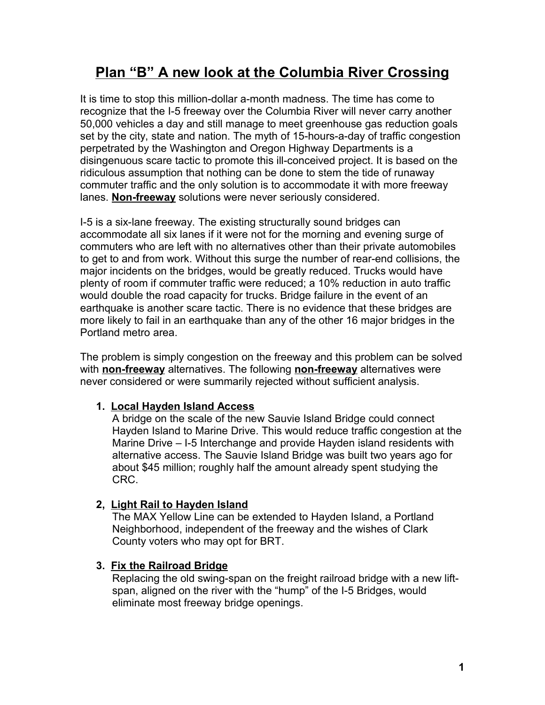# **Plan "B" A new look at the Columbia River Crossing**

It is time to stop this million-dollar a-month madness. The time has come to recognize that the I-5 freeway over the Columbia River will never carry another 50,000 vehicles a day and still manage to meet greenhouse gas reduction goals set by the city, state and nation. The myth of 15-hours-a-day of traffic congestion perpetrated by the Washington and Oregon Highway Departments is a disingenuous scare tactic to promote this ill-conceived project. It is based on the ridiculous assumption that nothing can be done to stem the tide of runaway commuter traffic and the only solution is to accommodate it with more freeway lanes. **Non-freeway** solutions were never seriously considered.

I-5 is a six-lane freeway. The existing structurally sound bridges can accommodate all six lanes if it were not for the morning and evening surge of commuters who are left with no alternatives other than their private automobiles to get to and from work. Without this surge the number of rear-end collisions, the major incidents on the bridges, would be greatly reduced. Trucks would have plenty of room if commuter traffic were reduced; a 10% reduction in auto traffic would double the road capacity for trucks. Bridge failure in the event of an earthquake is another scare tactic. There is no evidence that these bridges are more likely to fail in an earthquake than any of the other 16 major bridges in the Portland metro area.

The problem is simply congestion on the freeway and this problem can be solved with **non-freeway** alternatives. The following **non-freeway** alternatives were never considered or were summarily rejected without sufficient analysis.

# **1. Local Hayden Island Access**

A bridge on the scale of the new Sauvie Island Bridge could connect Hayden Island to Marine Drive. This would reduce traffic congestion at the Marine Drive – I-5 Interchange and provide Hayden island residents with alternative access. The Sauvie Island Bridge was built two years ago for about \$45 million; roughly half the amount already spent studying the CRC.

# **2, Light Rail to Hayden Island**

The MAX Yellow Line can be extended to Hayden Island, a Portland Neighborhood, independent of the freeway and the wishes of Clark County voters who may opt for BRT.

## **3. Fix the Railroad Bridge**

Replacing the old swing-span on the freight railroad bridge with a new liftspan, aligned on the river with the "hump" of the I-5 Bridges, would eliminate most freeway bridge openings.